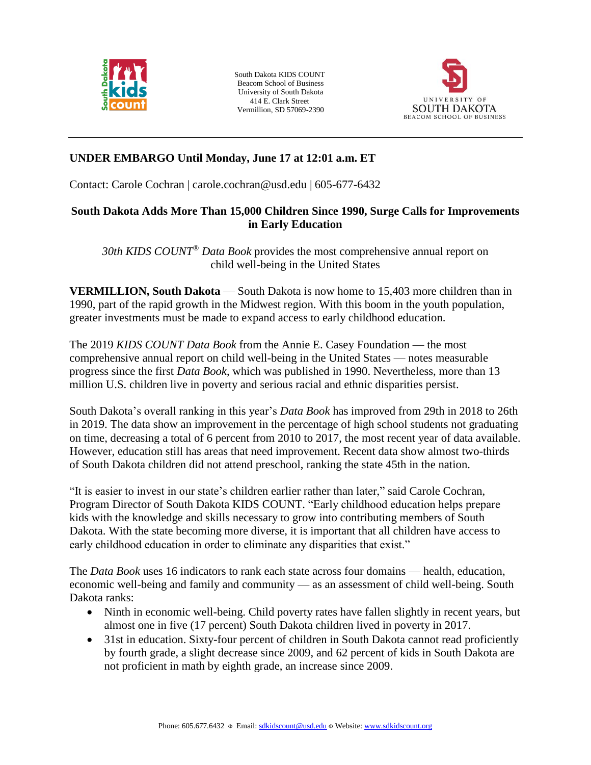

South Dakota KIDS COUNT Beacom School of Business University of South Dakota 414 E. Clark Street Vermillion, SD 57069-2390



# **UNDER EMBARGO Until Monday, June 17 at 12:01 a.m. ET**

Contact: Carole Cochran | carole.cochran@usd.edu | 605-677-6432

### **South Dakota Adds More Than 15,000 Children Since 1990, Surge Calls for Improvements in Early Education**

*30th KIDS COUNT® Data Book* provides the most comprehensive annual report on child well-being in the United States

**VERMILLION, South Dakota** — South Dakota is now home to 15,403 more children than in 1990, part of the rapid growth in the Midwest region. With this boom in the youth population, greater investments must be made to expand access to early childhood education.

The 2019 *KIDS COUNT Data Book* from the Annie E. Casey Foundation — the most comprehensive annual report on child well-being in the United States — notes measurable progress since the first *Data Book*, which was published in 1990. Nevertheless, more than 13 million U.S. children live in poverty and serious racial and ethnic disparities persist.

South Dakota's overall ranking in this year's *Data Book* has improved from 29th in 2018 to 26th in 2019. The data show an improvement in the percentage of high school students not graduating on time, decreasing a total of 6 percent from 2010 to 2017, the most recent year of data available. However, education still has areas that need improvement. Recent data show almost two-thirds of South Dakota children did not attend preschool, ranking the state 45th in the nation.

"It is easier to invest in our state's children earlier rather than later," said Carole Cochran, Program Director of South Dakota KIDS COUNT. "Early childhood education helps prepare kids with the knowledge and skills necessary to grow into contributing members of South Dakota. With the state becoming more diverse, it is important that all children have access to early childhood education in order to eliminate any disparities that exist."

The *Data Book* uses 16 indicators to rank each state across four domains — health, education, economic well-being and family and community — as an assessment of child well-being. South Dakota ranks:

- Ninth in economic well-being. Child poverty rates have fallen slightly in recent years, but almost one in five (17 percent) South Dakota children lived in poverty in 2017.
- 31st in education. Sixty-four percent of children in South Dakota cannot read proficiently by fourth grade, a slight decrease since 2009, and 62 percent of kids in South Dakota are not proficient in math by eighth grade, an increase since 2009.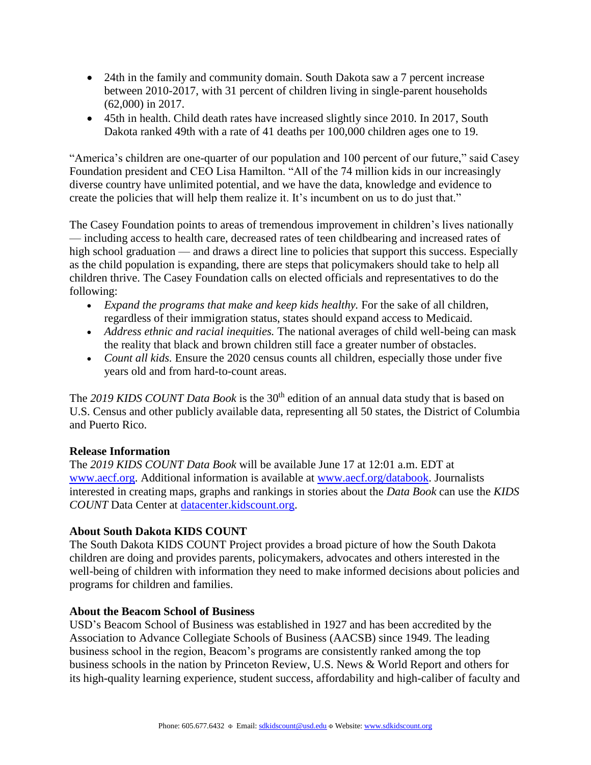- 24th in the family and community domain. South Dakota saw a 7 percent increase between 2010-2017, with 31 percent of children living in single-parent households (62,000) in 2017.
- 45th in health. Child death rates have increased slightly since 2010. In 2017, South Dakota ranked 49th with a rate of 41 deaths per 100,000 children ages one to 19.

"America's children are one-quarter of our population and 100 percent of our future," said Casey Foundation president and CEO Lisa Hamilton. "All of the 74 million kids in our increasingly diverse country have unlimited potential, and we have the data, knowledge and evidence to create the policies that will help them realize it. It's incumbent on us to do just that."

The Casey Foundation points to areas of tremendous improvement in children's lives nationally — including access to health care, decreased rates of teen childbearing and increased rates of high school graduation — and draws a direct line to policies that support this success. Especially as the child population is expanding, there are steps that policymakers should take to help all children thrive. The Casey Foundation calls on elected officials and representatives to do the following:

- *Expand the programs that make and keep kids healthy*. For the sake of all children, regardless of their immigration status, states should expand access to Medicaid.
- *Address ethnic and racial inequities.* The national averages of child well-being can mask the reality that black and brown children still face a greater number of obstacles.
- *Count all kids.* Ensure the 2020 census counts all children, especially those under five years old and from hard-to-count areas.

The 2019 KIDS COUNT Data Book is the 30<sup>th</sup> edition of an annual data study that is based on U.S. Census and other publicly available data, representing all 50 states, the District of Columbia and Puerto Rico.

## **Release Information**

The *2019 KIDS COUNT Data Book* will be available June 17 at 12:01 a.m. EDT at [www.aecf.org.](file:///C:/Users/ccochran/AppData/Local/Microsoft/Windows/Temporary%20Internet%20Files/AppData/Local/Microsoft/Windows/INetCache/Content.Outlook/From%20Beau%20to%20Review/www.aecf.org) Additional information is available at [www.aecf.org/databook.](file:///C:/Users/ccochran/AppData/Local/Microsoft/Windows/Temporary%20Internet%20Files/AppData/Local/Microsoft/Windows/INetCache/Content.Outlook/From%20Beau%20to%20Review/www.aecf.org/databook) Journalists interested in creating maps, graphs and rankings in stories about the *Data Book* can use the *KIDS COUNT* Data Center at [datacenter.kidscount.org.](file:///C:/Users/ccochran/AppData/Local/Microsoft/Windows/Temporary%20Internet%20Files/AppData/Local/Microsoft/Windows/INetCache/Content.Outlook/From%20Beau%20to%20Review/datacenter.kidscount.org)

## **About South Dakota KIDS COUNT**

The South Dakota KIDS COUNT Project provides a broad picture of how the South Dakota children are doing and provides parents, policymakers, advocates and others interested in the well-being of children with information they need to make informed decisions about policies and programs for children and families.

#### **About the Beacom School of Business**

USD's Beacom School of Business was established in 1927 and has been accredited by the Association to Advance Collegiate Schools of Business (AACSB) since 1949. The leading business school in the region, Beacom's programs are consistently ranked among the top business schools in the nation by Princeton Review, U.S. News & World Report and others for its high-quality learning experience, student success, affordability and high-caliber of faculty and